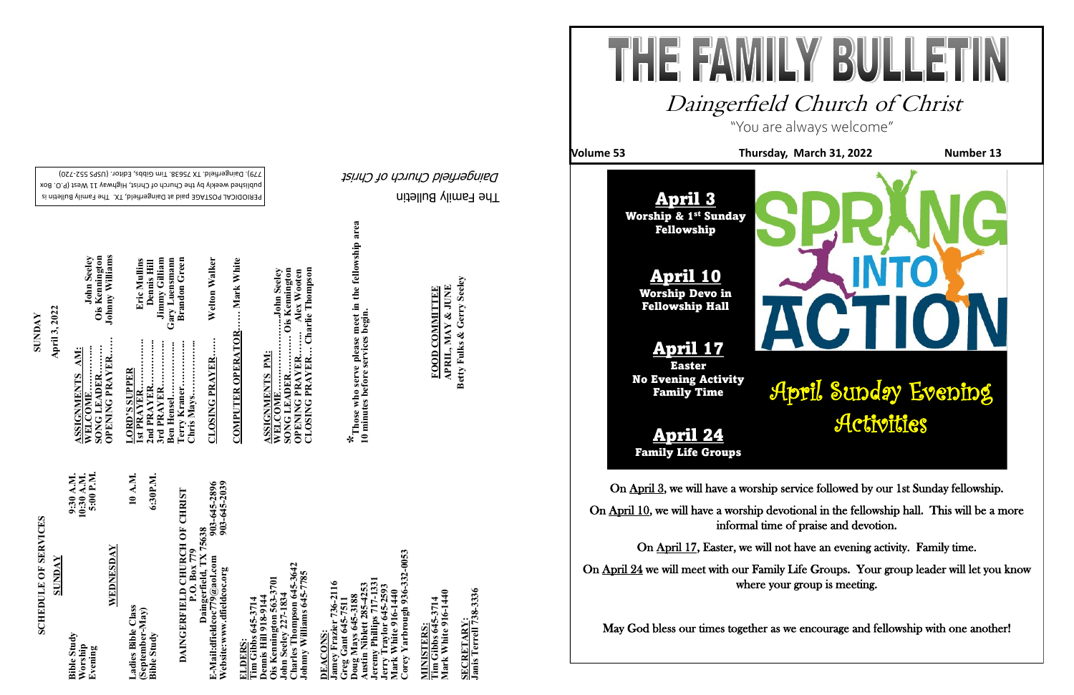The Family Bulletin Daingerfield Church of Christ

**FOOD COMMITTEE** 

PERIODICAL POSTAGE paid at Daingerfield, TX. The Family Bulletin is published weekly by the Church of Christ, Highway 11 West (P.O. Box

# **SCHEDULE OF SERVICES SCHEDULE OF SERVICES**

720) - 779). Daingerfield. TX 75638. Tim Gibbs, Editor. (USPS 552

903-645-2896<br>903-645-2039 **Website:www.dfieldcoc.org 903-645-2039 E-Mail:dfieldcoc779@aol.com 903-645-2896 DAINGERFIELD CHURCH OF CHRIST**<br>P.O. Box 779<br>Daingerfield, TX 75638<br>E-Mail:dfieldcoc779@aol.com<br>Website:www.dfieldcoc.org<br>903-645-203 **DAINGERFIELD CHURCH OF CHRIST Daingerfield, TX 75638**

**Charles Thompson 645-3642**  ohn Seeley 227-1834<br>Charles Thompson 645-364<br>Ohnny Williams 645-7785 **Johnny Williams 645-7785**  3701 **Ois Kennington 563-3701 John Seeley 227-1834 Kennington 563-3**<br>n Seeley 227-1834

 $-332 - 0053$ **Corey Yarbrough 936-332-0053 Jeremy Phillips 717-1331 Jamey Frazier 736-2116**  er 736-2116 **Austin Niblett 285-4253** Jerry Traylor 645-2593<br>Mark White 916-1440<br>Corey Yarbrough 936-3 **Jerry Traylor 645-2593 Mark White 916-1440 Greg Gant 645-7511 Doug Mays 645-3188** Anney Fraziei<br>Gamey Fraziei<br>Greg Gant 64:<br>Dong Mays 64 **DEACONS:**<br>Jamey Frazio **DEACONS:**   $\overline{\text{m}}$ 

| 10:30 A.M.<br>5:00 P.M.<br>9:30 A.M.<br><b>SUNDAY</b> | WEDNESDAY | 10 A.M.<br>6:30P.M.<br>Ladies Bible Class<br>(September-May) |
|-------------------------------------------------------|-----------|--------------------------------------------------------------|
| <b>Bible Study</b><br>Worship<br>Evening              |           | <b>Bible Study</b>                                           |

MINISTERS:<br>Tim Gibbs 645-3714<br>Mark White 916-1440 **MINISTERS:**

**NA** 

SECRETARY:<br>Janis Terrell 738-3336 **Janis Terrell 738-3336 SECRETARY:**

645-3714<br>1918-9144 **Tim Gibbs 645-3714 Dennis Hill 918-9144** ennis Hill

**ELDERS:** 

**Terry Kraner…………... Brandon Green Ben Hensel……………... Gary Luensmann 3rd PRAYER…………... Jimmy Gilliam 1st PRAYER……………. Eric Mullins** Eric Mullins **2nd PRAYER…………... Dennis Hill Chris Mays……………...**  Terry Kraner…….<br>Chris Mays………. **SUPPER LORD'S SUPPER** rd PRAYER **ORD'**<br>st PRA nd PR

Dennis Hill<br>Jimmy Gilliam<br>Gary Luensmann<br>Brandon Green

**CLOSING PRAYER…… Welton Walker**  Welton Walker **CLOSING PRAYER.....** 

.... Mark White **COMPUTER OPERATOR…… Mark White COMPUTER OPERATOR** 

RESOURENTE LEAD<br>WELCOME......................John Seeley<br>SONG LEADER............. Ois Kennington<br>OPENING PRAYER....Charlie Thompson<br>CLOSING PRAYER... Charlie Thompson **CLOSING PRAYER… Charlie Thompson WELCOME…………………...John Seeley SONG LEADER………… Ois Kennington OPENING PRAYER…….. Alex Wooten**

APRIL, MAY & JUNE<br>Betty Fulks & Gerry Seeley **APRIL, MAY & JUNE FOOD COMMITTEE**

**Tim Gibbs 645-3714 Mark White 916-1440**

**SUNDAY April 3, 2022**

**ASSIGNMENTS AM:** 

On April 24 we will meet with our Family Life Groups. Your group leader will let you know where your group is meeting.

**OPENING PRAYER…… Johnny Williams WELCOME…………... John Seeley SONG LEADER……… Ois Kennington** 

John Seeley<br>Ois Kennington<br>Johnny Williams

**ASSIGNMENTS PM:**

**\*Those who serve please meet in the fellowship area**  \* Those who serve please meet in the fellowship area<br>10 minutes before services begin. **10 minutes before services begin.** 

**Betty Fulks & Gerry Seeley**

"You are always welcome"



## Daingerfield Church of Christ

On April 3, we will have a worship service followed by our 1st Sunday fellowship.

۱

On April 10, we will have a worship devotional in the fellowship hall. This will be a more informal time of praise and devotion.

On April 17, Easter, we will not have an evening activity. Family time.

May God bless our times together as we encourage and fellowship with one another!

**Volume 53** Thursday, March 31, 2022 Number 13



April 3 Worship & 1st Sunday Fellowship

## April Sunday Evening Activities

April 10 Worship Devo in

Fellowship Hall

April 17

Easter No Evening Activity Family Time

April 24 Family Life Groups